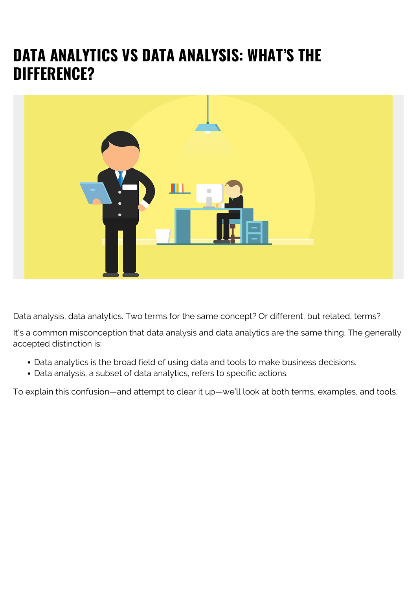# **DATA ANALYTICS VS DATA ANALYSIS: WHAT'S THE DIFFERENCE?**



Data analysis, data analytics. Two terms for the same concept? Or different, but related, terms?

It's a common misconception that data analysis and data analytics are the same thing. The generally accepted distinction is:

- Data analytics is the broad field of using data and tools to make business decisions.
- Data analysis, a subset of data analytics, refers to specific actions.

To explain this confusion—and attempt to clear it up—we'll look at both terms, examples, and tools.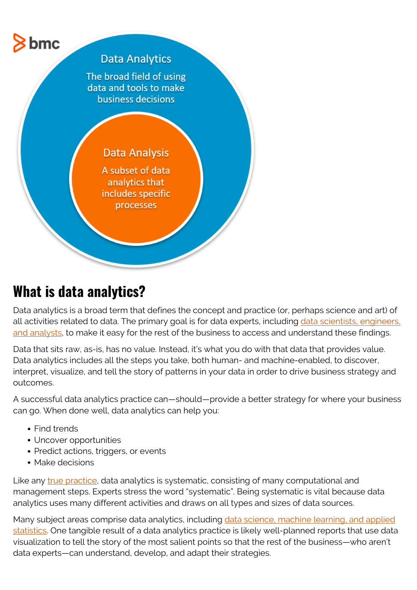

### **What is data analytics?**

Data analytics is a broad term that defines the concept and practice (or, perhaps science and art) of all activities related to data. The primary goal is for data experts, including [data scientists, engineers,](https://blogs.bmc.com/blogs/data-engineer-vs-data-scientist/) [and analysts](https://blogs.bmc.com/blogs/data-engineer-vs-data-scientist/), to make it easy for the rest of the business to access and understand these findings.

Data that sits raw, as-is, has no value. Instead, it's what you do with that data that provides value. Data analytics includes all the steps you take, both human- and machine-enabled, to discover, interpret, visualize, and tell the story of patterns in your data in order to drive business strategy and outcomes.

A successful data analytics practice can—should—provide a better strategy for where your business can go. When done well, data analytics can help you:

- Find trends
- Uncover opportunities
- Predict actions, triggers, or events
- Make decisions

Like any *[true practice](https://blogs.bmc.com/blogs/practice-vs-process/)*, data analytics is systematic, consisting of many computational and management steps. Experts stress the word "systematic". Being systematic is vital because data analytics uses many different activities and draws on all types and sizes of data sources.

Many subject areas comprise data analytics, including [data science, machine learning, and applied](https://blogs.bmc.com/blogs/practice-vs-process/) [statistics.](https://blogs.bmc.com/blogs/practice-vs-process/) One tangible result of a data analytics practice is likely well-planned reports that use data visualization to tell the story of the most salient points so that the rest of the business—who aren't data experts—can understand, develop, and adapt their strategies.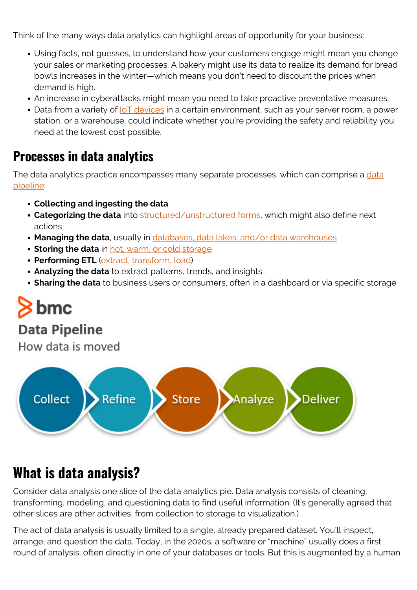Think of the many ways data analytics can highlight areas of opportunity for your business:

- Using facts, not guesses, to understand how your customers engage might mean you change your sales or marketing processes. A bakery might use its data to realize its demand for bread bowls increases in the winter—which means you don't need to discount the prices when demand is high.
- An increase in cyberattacks might mean you need to take proactive preventative measures.
- Data from a variety of loT devices in a certain environment, such as your server room, a power station, or a warehouse, could indicate whether you're providing the safety and reliability you need at the lowest cost possible.

#### **Processes in data analytics**

The [data](https://blogs.bmc.com/blogs/data-pipeline/) analytics practice encompasses many separate processes, which can comprise a data [pipeline](https://blogs.bmc.com/blogs/data-pipeline/):

- **Collecting and ingesting the data**
- **Categorizing the data** into [structured/unstructured forms,](https://blogs.bmc.com/blogs/structured-vs-unstructured-data/) which might also define next actions
- **Managing the data**, usually in [databases, data lakes, and/or data warehouses](https://blogs.bmc.com/blogs/data-lake-vs-data-warehouse-vs-database-whats-the-difference/)
- **Storing the data** in [hot, warm, or cold storage](https://blogs.bmc.com/blogs/cold-vs-hot-data-storage/)
- **Performing ETL** [\(extract, transform, load\)](https://blogs.bmc.com/blogs/what-is-etl-extract-transform-load-etl-explained/)
- **Analyzing the data** to extract patterns, trends, and insights
- **Sharing the data** to business users or consumers, often in a dashboard or via specific storage

# $\bm{\triangleright}$  bmc

#### **Data Pipeline**

How data is moved



#### **What is data analysis?**

Consider data analysis one slice of the data analytics pie. Data analysis consists of cleaning, transforming, modeling, and questioning data to find useful information. (It's generally agreed that other slices are other activities, from collection to storage to visualization.)

The act of data analysis is usually limited to a single, already prepared dataset. You'll inspect, arrange, and question the data. Today, in the 2020s, a software or "machine" usually does a first round of analysis, often directly in one of your databases or tools. But this is augmented by a human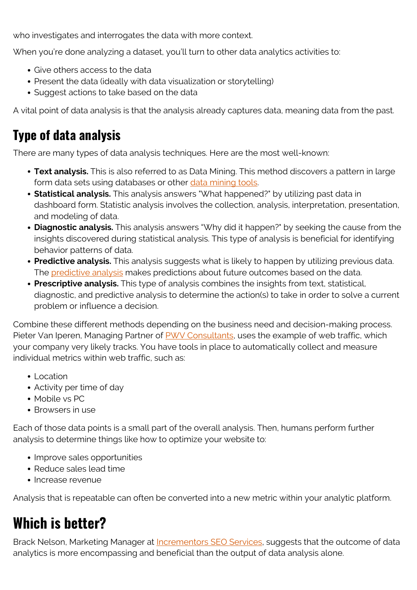who investigates and interrogates the data with more context.

When you're done analyzing a dataset, you'll turn to other data analytics activities to:

- Give others access to the data
- Present the data (ideally with data visualization or storytelling)
- Suggest actions to take based on the data

A vital point of data analysis is that the analysis already captures data, meaning data from the past.

#### **Type of data analysis**

There are many types of data analysis techniques. Here are the most well-known:

- **Text analysis.** This is also referred to as Data Mining. This method discovers a pattern in large form data sets using databases or other [data mining tools.](https://towardsdatascience.com/data-mining-tools-f701645e0f4c)
- **Statistical analysis.** This analysis answers "What happened?" by utilizing past data in dashboard form. Statistic analysis involves the collection, analysis, interpretation, presentation, and modeling of data.
- **Diagnostic analysis.** This analysis answers "Why did it happen?" by seeking the cause from the insights discovered during statistical analysis. This type of analysis is beneficial for identifying behavior patterns of data.
- **Predictive analysis.** This analysis suggests what is likely to happen by utilizing previous data. The [predictive analysis](https://blogs.bmc.com/blogs/machine-learning-vs-predictive-analytics/) makes predictions about future outcomes based on the data.
- **Prescriptive analysis.** This type of analysis combines the insights from text, statistical, diagnostic, and predictive analysis to determine the action(s) to take in order to solve a current problem or influence a decision.

Combine these different methods depending on the business need and decision-making process. Pieter Van Iperen, Managing Partner of [PWV Consultants](https://www.pwvconsultants.com/), uses the example of web traffic, which your company very likely tracks. You have tools in place to automatically collect and measure individual metrics within web traffic, such as:

- Location
- Activity per time of day
- Mobile vs PC
- Browsers in use

Each of those data points is a small part of the overall analysis. Then, humans perform further analysis to determine things like how to optimize your website to:

- Improve sales opportunities
- Reduce sales lead time
- Increase revenue

Analysis that is repeatable can often be converted into a new metric within your analytic platform.

# **Which is better?**

Brack Nelson, Marketing Manager at [Incrementors SEO Services](https://www.incrementors.com/), suggests that the outcome of data analytics is more encompassing and beneficial than the output of data analysis alone.